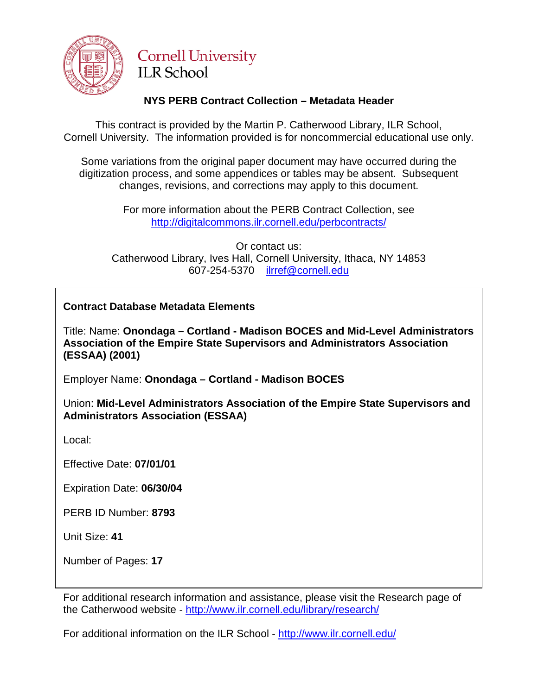

# **Cornell University ILR School**

## **NYS PERB Contract Collection – Metadata Header**

This contract is provided by the Martin P. Catherwood Library, ILR School, Cornell University. The information provided is for noncommercial educational use only.

Some variations from the original paper document may have occurred during the digitization process, and some appendices or tables may be absent. Subsequent changes, revisions, and corrections may apply to this document.

> For more information about the PERB Contract Collection, see http://digitalcommons.ilr.cornell.edu/perbcontracts/

Or contact us: Catherwood Library, Ives Hall, Cornell University, Ithaca, NY 14853 607-254-5370 [ilrref@cornell.edu](mailto:ilrref@cornell.edu)

## **Contract Database Metadata Elements**

Title: Name: **Onondaga – Cortland - Madison BOCES and Mid-Level Administrators Association of the Empire State Supervisors and Administrators Association (ESSAA) (2001)**

Employer Name: **Onondaga – Cortland - Madison BOCES**

Union: **Mid-Level Administrators Association of the Empire State Supervisors and Administrators Association (ESSAA)**

Local:

Effective Date: **07/01/01**

Expiration Date: **06/30/04**

PERB ID Number: **8793**

Unit Size: **41**

Number of Pages: **17**

For additional research information and assistance, please visit the Research page of the Catherwood website - <http://www.ilr.cornell.edu/library/research/>

For additional information on the ILR School - <http://www.ilr.cornell.edu/>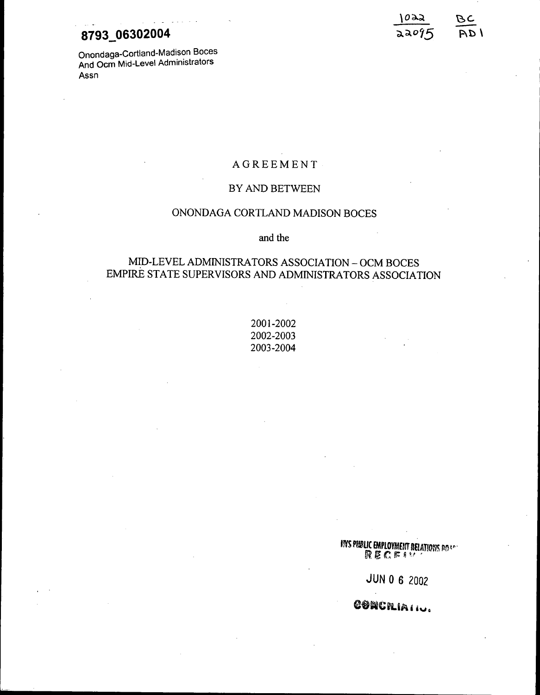## **8793 06302004**

Onondaga-Cortland-Madison Boces And Oem Mid-Level Administrators Assn

. - - -



## AGREEMENT

### BY AND BETWEEN

### ONONDAGA CORTLAND MADISON BOCES

### and the

## MID-LEVEL ADMINISTRATORS ASSOCIATION - OCM BOCES EMPIRE STATE SUPERVISORS AND ADMINISTRATORS ASSOCIATION

2001-2002 2002-2003 2003-2004

fNSPI6!!UC £MPLOYMErlT naATlO~1S *p~W'* R *Vi*C n: <sup>~</sup> '-, ,

JUN 0 6 2002

CONCRIAII.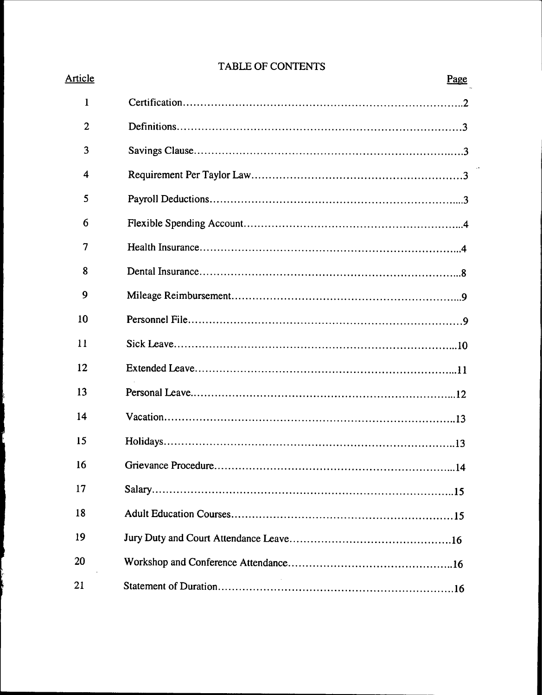## TABLE OF CONTENTS

| Article                 | JLE VE CONTENTS<br>Page |
|-------------------------|-------------------------|
| $\mathbf{1}$            |                         |
| $\overline{2}$          |                         |
| 3                       |                         |
| $\overline{\mathbf{4}}$ |                         |
| 5                       |                         |
| 6                       |                         |
| 7                       |                         |
| 8                       |                         |
| 9                       |                         |
| 10                      |                         |
| 11                      |                         |
| 12                      |                         |
| 13                      |                         |
| 14                      |                         |
| 15                      |                         |
| 16                      |                         |
| 17                      |                         |
| 18                      |                         |
| 19                      |                         |
| 20                      |                         |
| 21                      |                         |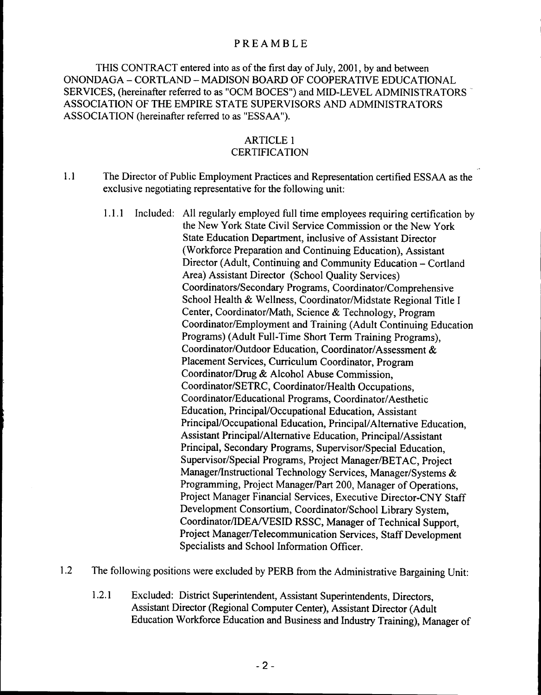## PREAMBLE

THIS CONTRACT entered into as of the first day of July, 2001, by and between ONONDAGA - CORTLAND - MADISON BOARD OF COOPERATIVE EDUCATIONAL SERVICES, (hereinafter referred to as "OCM BOCES") and MID-LEVEL ADMINISTRATORS' ASSOCIATION OF THE EMPIRE STATE SUPERVISORS AND ADMINISTRATORS ASSOCIA TION (hereinafter referred to as "ESSAA").

## ARTICLE 1

## **CERTIFICATION**

- 1.1 The Director of Public Employment Practices and Representation certified ESSAA as the exclusive negotiating representative for the following unit:
	- 1.1.1 Included: All regularly employed full time employees requiring certification by the New York State Civil Service Commission or the New York State Education Department, inclusive of Assistant Director (Workforce Preparation and Continuing Education), Assistant Director (Adult, Continuing and Community Education - Cortland Area) Assistant Director (School Quality Services) Coordinators/Secondary Programs, Coordinator/Comprehensive School Health & Wellness, Coordinator/Midstate Regional Title I Center, Coordinator/Math, Science & Technology, Program Coordinator/Employment and Training (Adult Continuing Education Programs) (Adult Full-Time Short Term Training Programs), Coordinator/Outdoor Education, Coordinator/Assessment & Placement Services, Curriculum Coordinator, Program Coordinator/Drug & Alcohol Abuse Commission, Coordinator/SETRC, Coordinator/Health Occupations, Coordinator/Educational Programs, Coordinator/Aesthetic Education, Principal/Occupational Education, Assistant Principal/Occupational Education, Principal/Alternative Education, Assistant Principal/Alternative Education, Principal/Assistant Principal, Secondary Programs, Supervisor/Special Education, Supervisor/Special Programs, Project Manager/BETAC, Project Manager/Instructional Technology Services, Manager/Systems & Programming, Project Manager/Part 200, Manager of Operations, Project Manager Financial Services, Executive Director-CNY Staff Development Consortium, Coordinator/School Library System, Coordinator/lDEA/VESID RSSC, Manager of Technical Support, Project Manager/Telecommunication Services, Staff Development Specialists and School Information Officer.
- 1.2 The following positions were excluded by PERB from the Administrative Bargaining Unit:
	- 1.2.1 Excluded: District Superintendent, Assistant Superintendents, Directors, Assistant Director (Regional Computer Center), Assistant Director (Adult Education Workforce Education and Business and Industry Training), Manager of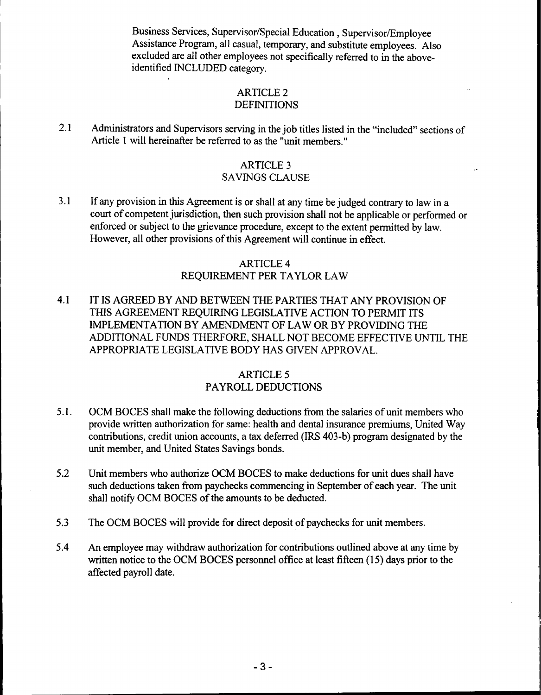Business Services, Supervisor/Special Education, Supervisor/Employee Assistance Program, all casual, temporary, and substitute employees. Also excluded are all other employees not specifically referred to in the aboveidentified INCLUDED category.

### ARTICLE 2 DEFINITIONS

2.1 Administrators and Supervisors serving in the job titles listed in the "included" sections of Article 1 will hereinafter be referred to as the "unit members. "

## ARTICLE 3

## SAVINGS CLAUSE

3.1 If any provision in this Agreement is or shall at any time be judged contrary to law in a court of competent jurisdiction, then such provision shall not be applicable or performed or enforced or subject to the grievance procedure, except to the extent permitted by law. However, all other provisions of this Agreement will continue in effect.

## ARTICLE 4 REQUIREMENT PER TAYLOR LAW

4.1 IT IS AGREED BY AND BETWEEN THE PARTIES THAT ANY PROVISION OF THIS AGREEMENT REQUIRING LEGISLATIVE ACTION TO PERMIT ITS IMPLEMENTATION BY AMENDMENT OF LAW OR BY PROVIDING THE ADDITIONAL FUNDS THERFORE, SHALL NOT BECOME EFFECTIVE UNTIL THE APPROPRIATE LEGISLATIVE BODY HAS GIVEN APPROVAL.

## ARTICLE 5 PAYROLL DEDUCTIONS

- 5.1. OCM BOCES shall make the following deductions from the salaries of unit members who provide written authorization for same: health and dental insurance premiums, United Way contributions, credit union accounts, a tax deferred (IRS 403-b) program designated by the unit member, and United States Savings bonds.
- 5.2 Unit members who authorize OCM BOCES to make deductions for unit dues shall have such deductions taken from paychecks commencing in September of each year. The unit shall notify OCM BOCES of the amounts to be deducted.
- 5.3 The OCM BOCES will provide for direct deposit of paychecks for unit members.
- 5.4 An employee may withdraw authorization for contributions outlined above at any time by written notice to the OCM BOCES personnel office at least fifteen (15) days prior to the affected payroll date.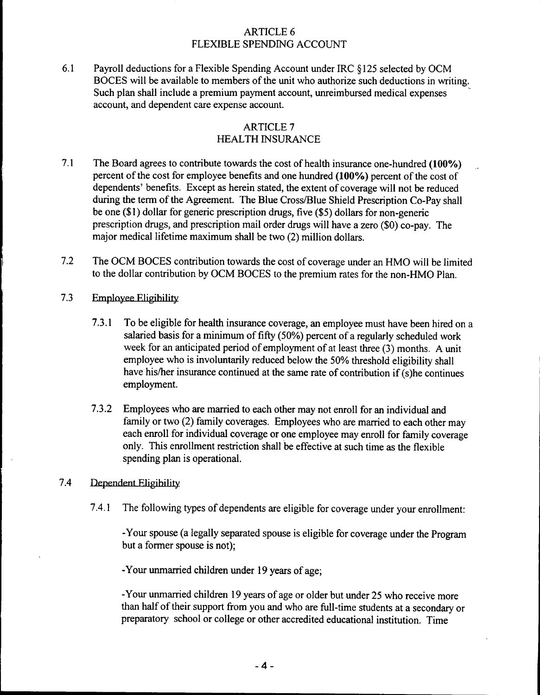## ARTICLE 6 FLEXIBLE SPENDING ACCOUNT

6.1 Payroll deductions for a Flexible Spending Account under IRC §125 selected by OCM BOCES will be available to members of the unit who authorize such deductions in writing. Such plan shall include a premium payment account, unreimbursed medical expenses account, and dependent care expense account.

## ARTICLE 7 HEALTH INSURANCE

- 7.1 The Board agrees to contribute towards the cost of health insurance one-hundred (100%) percent of the cost for employee benefits and one hundred (100%) percent of the cost of dependents' benefits. Except as herein stated, the extent of coverage will not be reduced during the term of the Agreement. The Blue Cross/Blue Shield Prescription Co-Pay shall be one (\$1) dollar for generic prescription drugs, five (\$5) dollars for non-generic prescription drugs, and prescription mail order drugs will have a zero (\$0) co-pay. The major medical lifetime maximum shall be two (2) million dollars.
- 7.2 The OCM BOCES contribution towards the cost of coverage under an HMO will be limited to the dollar contribution by OCM BOCES to the premium rates for the non-HMO Plan.
- 7.3 Employee Eligibility
	- 7.3.1 To be eligible for health insurance coverage, an employee must have been hired on a salaried basis for a minimum of fifty (50%) percent of a regularly scheduled work week for an anticipated period of employment of at least three (3) months. A unit employee who is involuntarily reduced below the 50% threshold eligibility shall have his/her insurance continued at the same rate of contribution if (s)he continues employment.
	- 7.3.2 Employees who are married to each other may not enroll for an individual and family or two (2) family coverages. Employees who are married to each other may each enroll for individual coverage or one employee may enroll for family coverage only. This enrollment restriction shall be effective at such time as the flexible spending plan is operational.

#### 7.4 Dependent Elieihility

7.4.1 The following types of dependents are eligible for coverage under your enrollment:

-Your spouse (a legally separated spouse is eligible for coverage under the Program but a former spouse is not);

-Your unmarried children under <sup>19</sup> years of age;

-Your unmarried children <sup>19</sup> years of age or older but under <sup>25</sup> who receive more than half of their support from you and who are full-time students at a secondary or preparatory school or college or other accredited educational institution. Time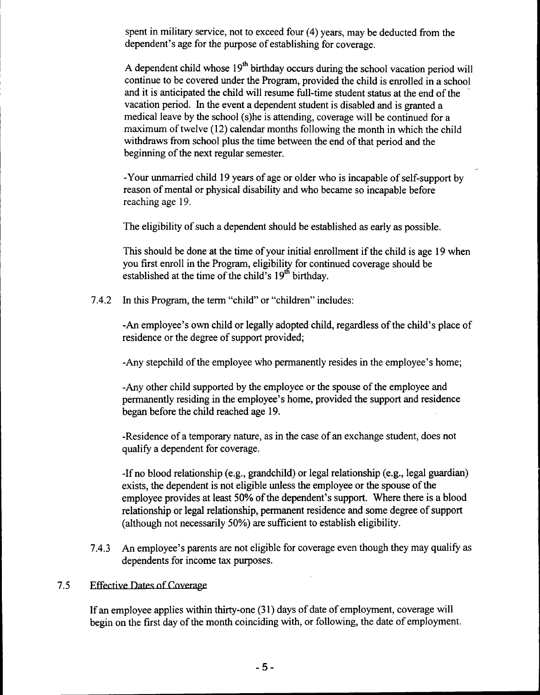spent in military service, not to exceed four (4) years, may be deducted from the dependent's age for the purpose of establishing for coverage.

A dependent child whose  $19<sup>th</sup>$  birthday occurs during the school vacation period will continue to be covered under the Program, provided the child is enrolled in a school and it is anticipated the child will resume full-time student status at the end of the vacation period. In the event a dependent student is disabled and is granted a medical leave by the school (s)he is attending, coverage will be continued for a maximum of twelve (12) calendar months following the month in which the child withdraws from school plus the time between the end of that period and the beginning of the next regular semester.

-Your unmarried child 19 years of age or older who is incapable of self-support by reason of mental or physical disability and who became so incapable before reaching age 19.

The eligibility of such a dependent should be established as early as possible.

This should be done at the time of your initial enrollment if the child is age 19 when you first enroll in the Program, eligibility for continued coverage should be established at the time of the child's  $19<sup>th</sup>$  birthday.

7.4.2 In this Program, the term "child" or "children" includes:

-An employee's own child or legally adopted child, regardless of the child's place of residence or the degree of support provided;

-Any stepchild of the employee who pennanently resides in the employee's home;

-Any other child supported by the employee or the spouse of the employee and pennanently residing in the employee's home, provided the support and residence began before the child reached age 19.

-Residence of a temporary nature, as in the case of an exchange student, does not qualify a dependent for coverage.

-If no blood relationship (e.g., grandchild) or legal relationship (e.g., legal guardian) exists, the dependent is not eligible unless the employee or the spouse of the employee provides at least 50% of the dependent's support. Where there is a blood relationship or legal relationship, pennanent residence and some degree of support (although not necessarily 50%) are sufficient to establish eligibility.

7.4.3 An employee's parents are not eligible for coverage even though they may qualify as dependents for income tax purposes.

## 7.5 Effective Dates of Coverage

If an employee applies within thirty-one (31) days of date of employment, coverage will begin on the first day of the month coinciding with, or following, the date of employment.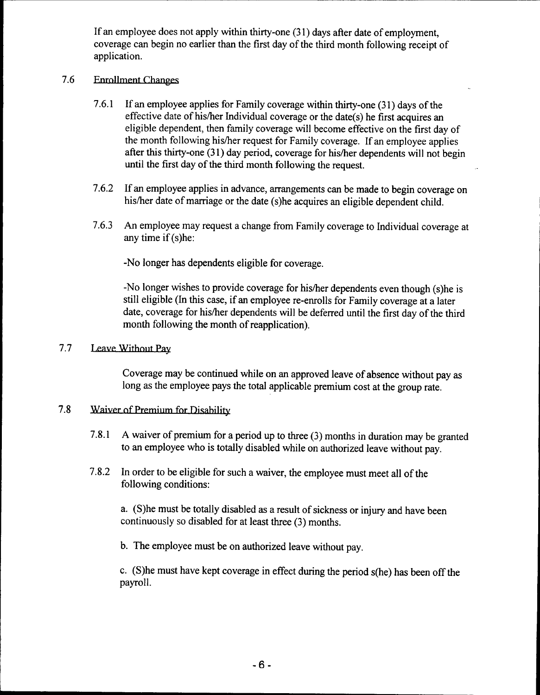If an employee does not apply within thirty-one (31) days after date of employment, coverage can begin no earlier than the first day of the third month following receipt of application.

## 7.6 Enrollment Changes

- 7.6.1 If an employee applies for Family coverage within thirty-one (31) days of the effective date of his/her Individual coverage or the date(s) he first acquires an eligible dependent, then family coverage will become effective on the first day of the month following his/her request for Family coverage. If an employee applies after this thirty-one (31) day period, coverage for his/her dependents will not begin until the first day of the third month following the request.
- 7.6.2 If an employee applies in advance, arrangements can be made to begin coverage on his/her date of marriage or the date (s)he acquires an eligible dependent child.
- 7.6.3 An employee may request a change from Family coverage to Individual coverage at any time if  $(s)$ he:

-No longer has dependents eligible for coverage.

-No longer wishes to provide coverage for his/her dependents even though (s)he is still eligible (In this case, if an employee re-enrolls for Family coverage at a later date, coverage for his/her dependents will be deferred until the first day of the third month following the month of reapplication).

#### 7.7 Leave Without Pay

Coverage may be continued while on an approved leave of absence without pay as long as the employee pays the total applicable premium cost at the group rate.

#### 7.8 Waiver of Premium for Disability

- 7.8.1 A waiver of premium for a period up to three (3) months in duration may be granted to an employee who is totally disabled while on authorized leave without pay.
- 7.8.2 In order to be eligible for such a waiver, the employee must meet all of the following conditions:

a. (S)he must be totally disabled as a result of sickness or injury and have been continuously so disabled for at least three (3) months.

b. The employee must be on authorized leave without pay.

c. (S)he must have kept coverage in effect during the period s(he) has been off the payroll.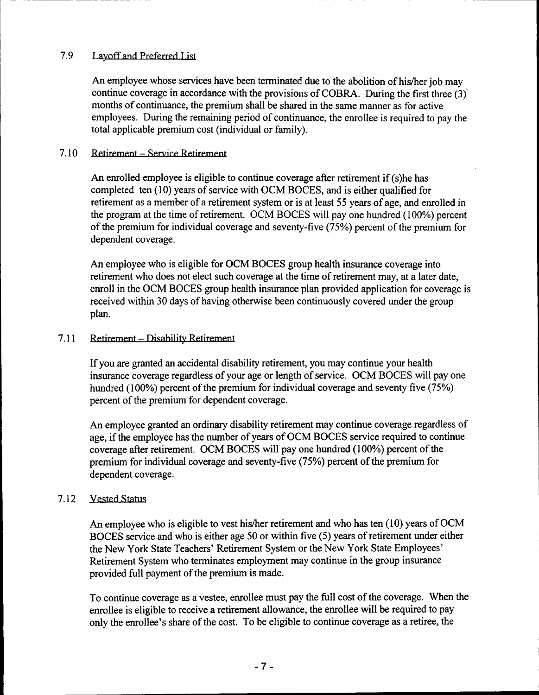## 7.9 Layoff and Preferred List

An employee whose services have been terminated due to the abolition of his/her job may continue coverage in accordance with the provisions of COBRA. During the first three (3)' months of continuance, the premium shall be shared in the same manner as for active employees. During the remaining period of continuance, the enrollee is required to pay the total applicable premium cost (individual or family).

## 7.10 Retirement – Service Retirement

An enrolled employee is eligible to continue coverage after retirement if (s)he has completed ten (10) years of service with OCM BOCES, and is either qualified for retirement as a member of a retirement system or is at least 55 years of age, and enrolled in the program at the time of retirement. OCM BOCES will pay one hundred (100%) percent of the premium for individual coverage and seventy-five (75%) percent of the premium for dependent coverage.

An employee who is eligible for OCM BOCES group health insurance coverage into retirement who does not elect such coverage at the time of retirement may, at a later date, enroll in the OCM BOCES group health insurance plan provided application for coverage is received within 30 days of having otherwise been continuously covered under the group plan.

## 7.11 Retirement - Disability Retirement

If you are granted an accidental disability retirement, you may continue your health insurance coverage regardless of your age or length of service. OCM BOCES will pay one hundred (100%) percent of the premium for individual coverage and seventy five (75%) percent of the premium for dependent coverage.

An employee granted an ordinary disability retirement may continue coverage regardless of age, if the employee has the number of years of OCM BOCES service required to continue coverage after retirement. OCM BOCES will pay one hundred (100%) percent of the premium for individual coverage and seventy-five (75%) percent of the premium for dependent coverage.

## 7.12 Vested Status

An employee who is eligible to vest his/her retirement and who has ten (10) years of OCM BOCES service and who is either age 50 or within five (5) years of retirement under either the New York State Teachers' Retirement System or the New York State Employees' Retirement System who terminates employment may continue in the group insurance provided full payment of the premium is made.

To continue coverage as a vestee, enrollee must pay the full cost of the coverage. When the enrollee is eligible to receive a retirement allowance, the enrollee will be required to pay only the enrollee's share of the cost. To be eligible to continue coverage as a retiree, the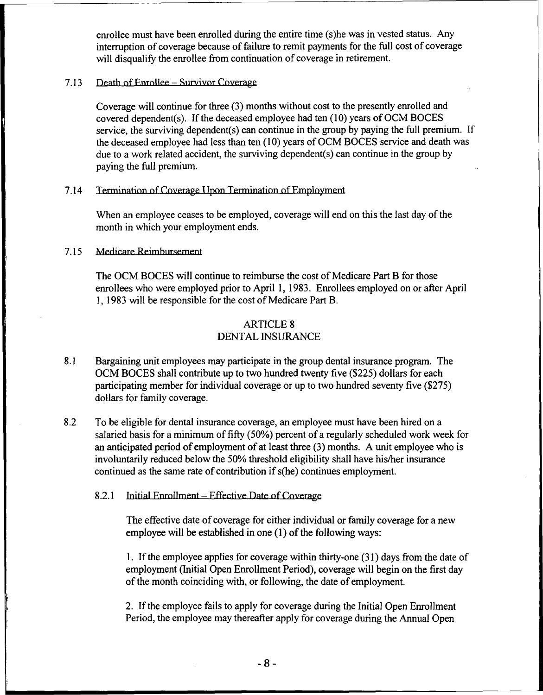enrollee must have been enrolled during the entire time (s)he was in vested status. Any interruption of coverage because of failure to remit payments for the full cost of coverage will disqualify the enrollee from continuation of coverage in retirement.

#### 7.13 Death of Enrollee – Survivor Coverage

Coverage will continue for three (3) months without cost to the presently enrolled and covered dependent(s). If the deceased employee had ten  $(10)$  years of OCM BOCES service, the surviving dependent(s) can continue in the group by paying the full premium. If the deceased employee had less than ten (10) years of OCM BOCES service and death was due to a work related accident, the surviving dependent(s) can continue in the group by paying the full premium.

#### 7.14 Termination of Coverage Upon Termination of Employment

When an employee ceases to be employed, coverage will end on this the last day of the month in which your employment ends.

#### 7.15 Medicare Reimbursement

The OCM BOCES will continue to reimburse the cost of Medicare Part B for those enrollees who were employed prior to April 1, 1983. Enrollees employed on or after April 1, 1983 will be responsible for the cost of Medicare Part B.

## ARTICLE 8 DENTAL INSURANCE

- 8.1 Bargaining unit employees may participate in the group dental insurance program. The OCM BOCES shall contribute up to two hundred twenty five (\$225) dollars for each participating member for individual coverage or up to two hundred seventy five (\$275) dollars for family coverage.
- 8.2 To be eligible for dental insurance coverage, an employee must have been hired on a salaried basis for a minimum of fifty (50%) percent of a regularly scheduled work week for an anticipated period of employment of at least three (3) months. A unit employee who is involuntarily reduced below the 50% threshold eligibility shall have his/her insurance continued as the same rate of contribution if s(he) continues employment.
	- 8.2.1 Initial Enrollment Effective Date of Coverage

The effective date of coverage for either individual or family coverage for a new employee will be established in one (1) of the following ways:

1. If the employee applies for coverage within thirty-one (31) days from the date of employment (Initial Open Enrollment Period), coverage will begin on the first day of the month coinciding with, or following, the date of employment.

2. If the employee fails to apply for coverage during the Initial Open Enrollment Period, the employee may thereafter apply for coverage during the Annual Open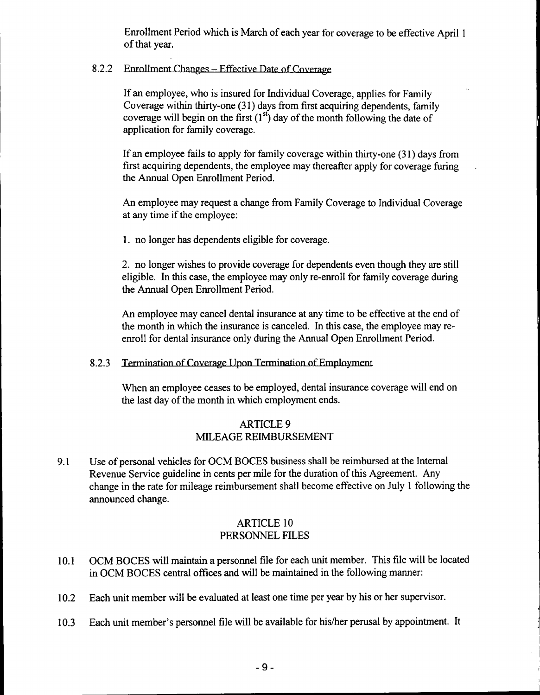Enrollment Period which is March of each year for coverage to be effective April I of that year.

## 8.2.2 Enrollment Changes - Effective Date of Coverage

If an employee, who is insured for Individual Coverage, applies for Family Coverage within thirty-one (31) days from first acquiring dependents, family coverage will begin on the first  $(1<sup>st</sup>)$  day of the month following the date of application for family coverage.

If an employee fails to apply for family coverage within thirty-one (31) days from first acquiring dependents, the employee may thereafter apply for coverage furing the Annual Open Enrollment Period.

An employee may request a change from Family Coverage to Individual Coverage at any time if the employee:

1. no longer has dependents eligible for coverage.

2. no longer wishes to provide coverage for dependents even though they are still eligible. In this case, the employee may only re-enroll for family coverage during the Annual Open Enrollment Period.

An employee may cancel dental insurance at any time to be effective at the end of the month in which the insurance is canceled. In this case, the employee may reenroll for dental insurance only during the Annual Open Enrollment Period.

### 8.2.3 Termination of Coverage Upon Termination of Employment

When an employee ceases to be employed, dental insurance coverage will end on the last day of the month in which employment ends.

## ARTICLE 9 MILEAGE REIMBURSEMENT

9.1 Use of personal vehicles for OCM BOCES business shall be reimbursed at the Internal Revenue Service guideline in cents per mile for the duration of this Agreement. Any change in the rate for mileage reimbursement shall become effective on July 1 following the announced change.

## ARTICLE 10 PERSONNEL FILES

- 10.1 OCM BOCES will maintain a personnel file for each unit member. This file will be located in OCM BOCES central offices and will be maintained in the following manner:
- 10.2 Each unit member will be evaluated at least one time per year by his or her supervisor.
- 10.3 Each unit member's personnel file will be available for his/her perusal by appointment. It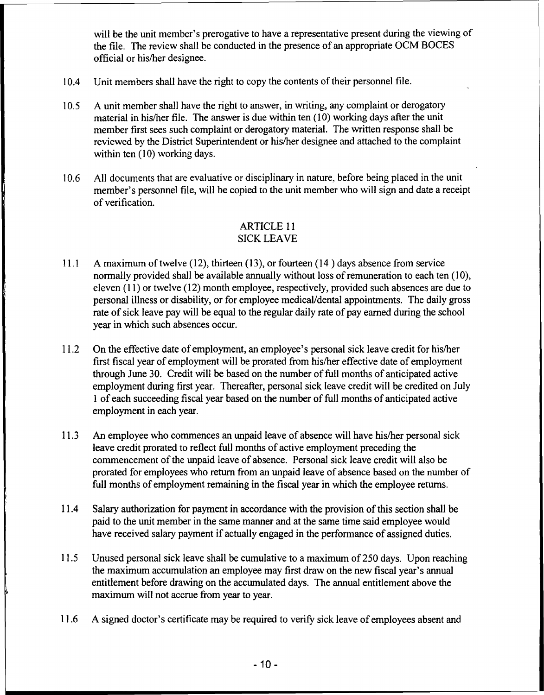will be the unit member's prerogative to have a representative present during the viewing of the file. The review shall be conducted in the presence of an appropriate OCM BOCES official or his/her designee.

- 10.4 Unit members shall have the right to copy the contents of their personnel file.
- 10.5 A unit member shall have the right to answer, in writing, any complaint or derogatory material in his/her file. The answer is due within ten (10) working days after the unit member first sees such complaint or derogatory material. The written response shall be reviewed by the District Superintendent or his/her designee and attached to the complaint within ten (10) working days.
- 10.6 All documents that are evaluative or disciplinary in nature, before being placed in the unit member's personnel file, will be copied to the unit member who will sign and date a receipt of verification.

## ARTICLE 11 SICK LEAVE

- 11.1 A maximum of twelve (12), thirteen (13), or fourteen (14 ) days absence from service normally provided shall be available annually without loss of remuneration to each ten (10), eleven (11) or twelve (12) month employee, respectively, provided such absences are due to personal illness or disability, or for employee medical/dental appointments. The daily gross rate of sick leave pay will be equal to the regular daily rate of pay earned during the school year in which such absences occur.
- 11.2 On the effective date of employment, an employee's personal sick leave credit for his/her first fiscal year of employment will be prorated from his/her effective date of employment through June 30. Credit will be based on the number of full months of anticipated active employment during first year. Thereafter, personal sick leave credit will be credited on July 1 of each succeeding fiscal year based on the number of full months of anticipated active employment in each year.
- 11.3 An employee who commences an unpaid leave of absence will have his/her personal sick leave credit prorated to reflect full months of active employment preceding the commencement of the unpaid leave of absence. Personal sick leave credit will also be prorated for employees who return trom an unpaid leave of absence based on the number of full months of employment remaining in the fiscal year in which the employee returns.
- 11.4 Salary authorization for payment in accordance with the provision of this section shall be paid to the unit member in the same manner and at the same time said employee would have received salary payment if actually engaged in the performance of assigned duties.
- 11.5 Unused personal sick leave shall be cumulative to a maximum of250 days. Upon reaching the maximum accumulation an employee may first draw on the new fiscal year's annual entitlement before drawing on the accumulated days. The annual entitlement above the maximum will not accrue from year to year.
- 11.6 A signed doctor's certificate may be required to verify sick leave of employees absent and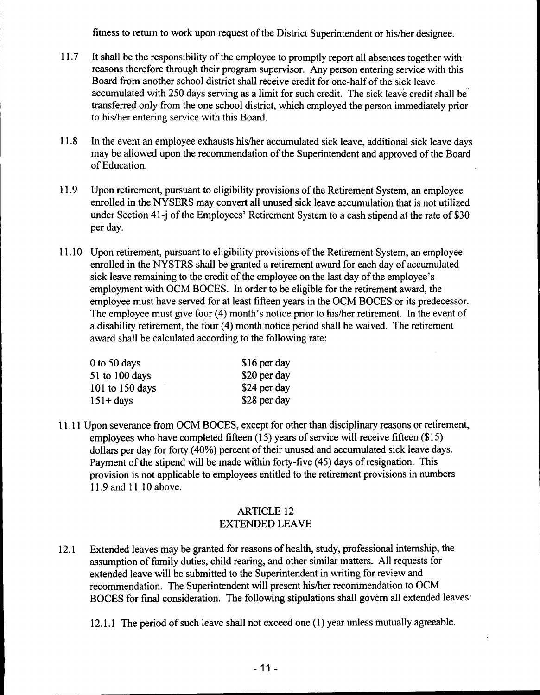fitness to return to work upon request of the District Superintendent or his/her designee.

- 11.7 It shall be the responsibility of the employee to promptly report all absences together with reasons therefore through their program supervisor. Any person entering service with this Board from another school district shall receive credit for one-half of the sick leave accumulated with 250 days serving as a limit for such credit. The sick leave credit shall be transferred only from the one school district, which employed the person immediately prior to his/her entering service with this Board.
- 11.8 In the event an employee exhausts his/her accumulated sick leave, additional sick leave days may be allowed upon the recommendation of the Superintendent and approved of the Board of Education.
- 11.9 Upon retirement, pursuant to eligibility provisions of the Retirement System, an employee enrolled in the NYSERS may convert all unused sick leave accumulation that is not utilized under Section 41-j of the Employees' Retirement System to a cash stipend at the rate of \$30 per day.
- 11.10 Upon retirement, pursuant to eligibility provisions of the Retirement System, an employee enrolled in the NYSTRS shall be granted a retirement award for each day of accumulated sick leave remaining to the credit of the employee on the last day of the employee's employment with OCM BOCES. In order to be eligible for the retirement award, the employee must have served for at least fifteen years in the OCM BOCES or its predecessor. The employee must give four (4) month's notice prior to his/her retirement. In the event of a disability retirement, the four (4) month notice period shall be waived. The retirement award shall be calculated according to the following rate:

| \$16 per day |
|--------------|
| \$20 per day |
| \$24 per day |
| \$28 per day |
|              |

11.11 Upon severance from OCM BOCES, except for other than disciplinary reasons or retirement, employees who have completed fifteen (15) years of service will receive fifteen (\$15) dollars per day for forty (40%) percent of their unused and accumulated sick leave days. Payment of the stipend will be made within forty-five (45) days of resignation. This provision is not applicable to employees entitled to the retirement provisions in numbers 11.9 and 11.10 above.

## ARTICLE 12 EXTENDED LEAVE

12.1 Extended leaves may be granted for reasons of health, study, professional internship, the assumption of family duties, child rearing, and other similar matters. All requests for extended leave will be submitted to the Superintendent in writing for review and recommendation. The Superintendent will present his/her recommendation to OCM BOCES for final consideration. The following stipulations shall govern all extended leaves:

12.1.1 The period of such leave shall not exceed one (1) year unless mutually agreeable.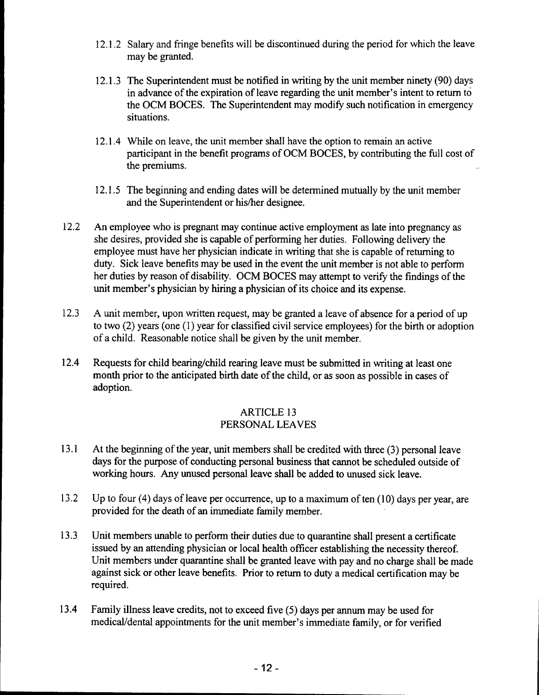- 12.1.2 Salary and fringe benefits will be discontinued during the period for which the leave may be granted.
- 12.1.3 The Superintendent must be notified in writing by the unit member ninety (90) days in advance of the expiration of leave regarding the unit member's intent to return to the OCM BOCES. The Superintendent may modify such notification in emergency situations.
- 12.1.4 While on leave, the unit member shall have the option to remain an active participant in the benefit programs of OCM BOCES, by contributing the full cost of the premiums.
- 12.1.5 The beginning and ending dates will be determined mutually by the unit member and the Superintendent or his/her designee.
- 12.2 An employee who is pregnant may continue active employment as late into pregnancy as she desires, provided she is capable of performing her duties. Following delivery the employee must have her physician indicate in writing that she is capable of returning to duty. Sick leave benefits may be used in the event the unit member is not able to perform her duties by reason of disability. OCM BOCES may attempt to verify the findings of the unit member's physician by hiring a physician of its choice and its expense.
- 12.3 A unit member, upon written request, may be granted a leave of absence for a period of up to two (2) years (one (I) year for classified civil service employees) for the birth or adoption of a child. Reasonable notice shall be given by the unit member.
- 12.4 Requests for child bearing/child rearing leave must be submitted in writing at least one month prior to the anticipated birth date of the child, or as soon as possible in cases of adoption.

## ARTICLE 13 PERSONAL LEA YES

- 13.1 At the beginning of the year, unit members shall be credited with three (3) personal leave days for the purpose of conducting personal business that cannot be scheduled outside of working hours. Any unused personal leave shall be added to unused sick leave.
- 13.2 Up to four  $(4)$  days of leave per occurrence, up to a maximum of ten  $(10)$  days per year, are provided for the death of an immediate family member.
- 13.3 Unit members unable to perform their duties due to quarantine shall present a certificate issued by an attending physician or local health officer establishing the necessity thereof. Unit members under quarantine shall be granted leave with pay and no charge shall be made against sick or other leave benefits. Prior to return to duty a medical certification may be required.
- 13.4 Family illness leave credits, not to exceed five (5) days per annum may be used for medical/dental appointments for the unit member's immediate family, or for verified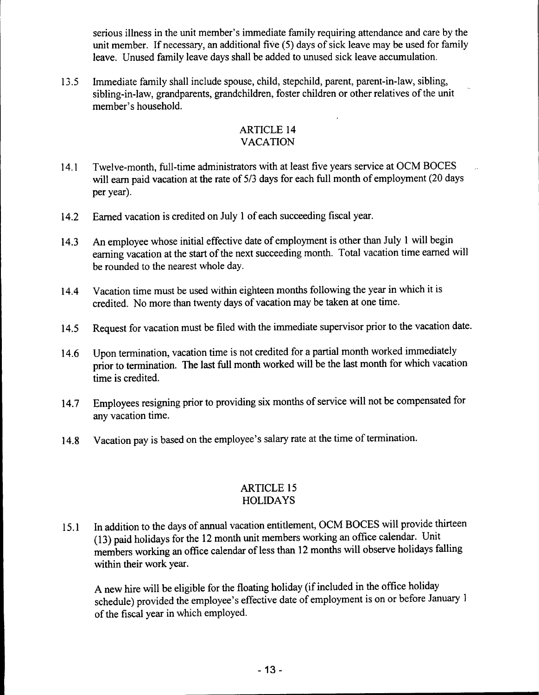serious illness in the unit member's immediate family requiring attendance and care by the unit member. If necessary, an additional five (5) days of sick leave may be used for family leave. Unused family leave days shall be added to unused sick leave accumulation.

13.5 Immediate family shall include spouse, child, stepchild, parent, parent-in-law, sibling, sibling-in-Iaw, grandparents, grandchildren, foster children or other relatives of the unit member's household.

### ARTICLE 14 VACATION

- 14.1 Twelve-month, full-time administrators with at least five years service at OCM BOCES will earn paid vacation at the rate of 5/3 days for each full month of employment (20 days per year).
- 14.2 Earned vacation is credited on July 1 of each succeeding fiscal year.
- 14.3 An employee whose initial effective date of employment is other than July I will begin earning vacation at the start of the next succeeding month. Total vacation time earned will be rounded to the nearest whole day.
- 14.4 Vacation time must be used within eighteen months following the year in which it is credited. No more than twenty days of vacation may be taken at one time.
- 14.5 Request for vacation must be filed with the immediate supervisor prior to the vacation date.
- 14.6 Upon termination, vacation time is not credited for a partial month worked immediately prior to termination. The last full month worked will be the last month for which vacation time is credited.
- 14.7 Employees resigning prior to providing six months of service will not be compensated for any vacation time.
- 14.8 Vacation pay is based on the employee's salary rate at the time of termination.

## ARTICLE 15 HOLIDAYS

15.1 In addition to the days of annual vacation entitlement, OCM BOCES will provide thirteen (13) paid holidays for the 12 month unit members working an office calendar. Unit members working an office calendar of less than 12 months will observe holidays falling within their work year.

A new hire will be eligible for the floating holiday (if included in the office holiday schedule) provided the employee's effective date of employment is on or before January 1 of the fiscal year in which employed.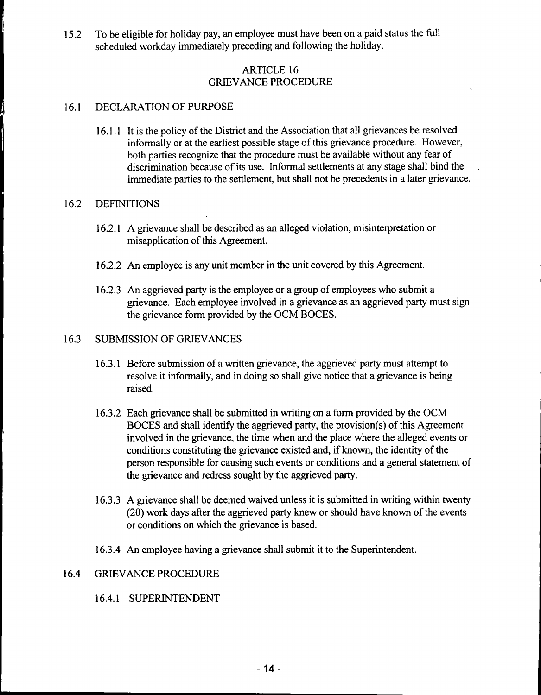15.2 To be eligible for holiday pay, an employee must have been on a paid status the full scheduled workday immediately preceding and following the holiday.

### ARTICLE 16 GRIEVANCE PROCEDURE

### 16.1 DECLARATION OF PURPOSE

16.1.1 It is the policy of the District and the Association that all grievances be resolved informally or at the earliest possible stage of this grievance procedure. However, both parties recognize that the procedure must be available without any fear of discrimination because of its use. Informal settlements at any stage shall bind the immediate parties to the settlement, but shall not be precedents in a later grievance.

### 16.2 DEFINITIONS

- 16.2.1 A grievance shall be described as an alleged violation, misinterpretation or misapplication of this Agreement.
- 16.2.2 An employee is any unit member in the unit covered by this Agreement.
- 16.2.3 An aggrieved party is the employee or a group of employees who submit a grievance. Each employee involved in a grievance as an aggrieved party must sign the grievance form provided by the OCM BOCES.

### 16.3 SUBMISSION OF GRIEVANCES

- 16.3.1 Before submission of a written grievance, the aggrieved party must attempt to resolve it informally, and in doing so shall give notice that a grievance is being raised.
- 16.3.2 Each grievance shall be submitted in writing on a form provided by the OCM BOCES and shall identify the aggrieved party, the provision(s) of this Agreement involved in the grievance, the time when and the place where the alleged events or conditions constituting the grievance existed and, if known, the identity of the person responsible for causing such events or conditions and a general statement of the grievance and redress sought by the aggrieved party.
- 16.3.3 A grievance shall be deemed waived unless it is submitted in writing within twenty (20) work days after the aggrieved party knew or should have known of the events or conditions on which the grievance is based.
- 16.3.4 An employee having a grievance shall submit it to the Superintendent.

### 16.4 GRIEVANCE PROCEDURE

### 16.4.1 SUPERINTENDENT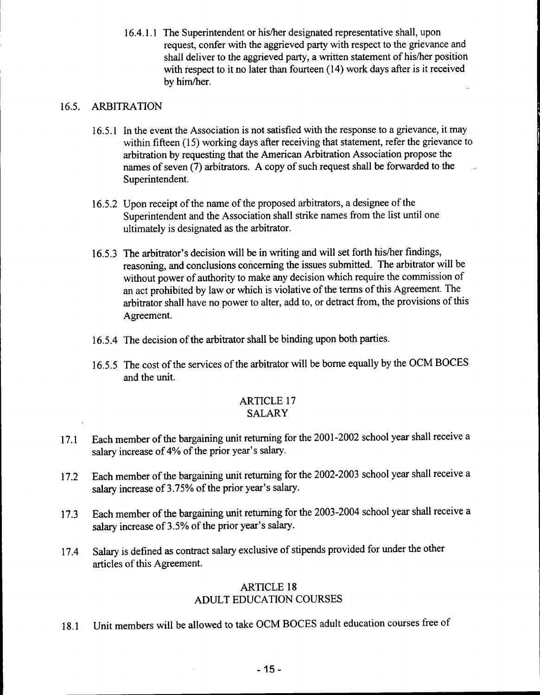16.4.1.1 The Superintendent or hislher designated representative shall, upon request, confer with the aggrieved party with respect to the grievance and shall deliver to the aggrieved party, a written statement of his/her position with respect to it no later than fourteen (14) work days after is it received by him/her.

## 16.5. ARBITRATION

- 16.5.1 In the event the Association is not satisfied with the response to a grievance, it may within fifteen (15) working days after receiving that statement, refer the grievance to arbitration by requesting that the American Arbitration Association propose the names of seven (7) arbitrators. A copy of such request shall be forwarded to the Superintendent.
- 16.5.2 Upon receipt of the name of the proposed arbitrators, a designee of the Superintendent and the Association shall strike names from the list until one ultimately is designated as the arbitrator.
- 16.5.3 The arbitrator's decision will be in writing and will set forth his/her findings, reasoning, and conclusions concerning the issues submitted. The arbitrator will be without power of authority to make any decision which require the commission of an act prohibited by law or which is violative of the terms of this Agreement. The arbitrator shall have no power to alter, add to, or detract from, the provisions of this Agreement.
- 16.5.4 The decision of the arbitrator shall be binding upon both parties.
- 16.5.5 The cost of the services of the arbitrator will be borne equally by the OCM BOCES and the unit.

### ARTICLE 17 SALARY

- 17.1 Each member of the bargaining unit returning for the 2001-2002 school year shall receive a salary increase of 4% of the prior year's salary.
- 17.2 Each member of the bargaining unit returning for the 2002-2003 school year shall receive a salary increase of 3.75% of the prior year's salary.
- 17.3 Each member of the bargaining unit returning for the 2003-2004 school year shall receive a salary increase of 3.5% of the prior year's salary.
- 17.4 Salary is defined as contract salary exclusive of stipends provided for under the other articles of this Agreement.

### ARTICLE 18 ADULT EDUCATION COURSES

18.1 Unit members will be allowed to take OCM BOCES adult education courses free of